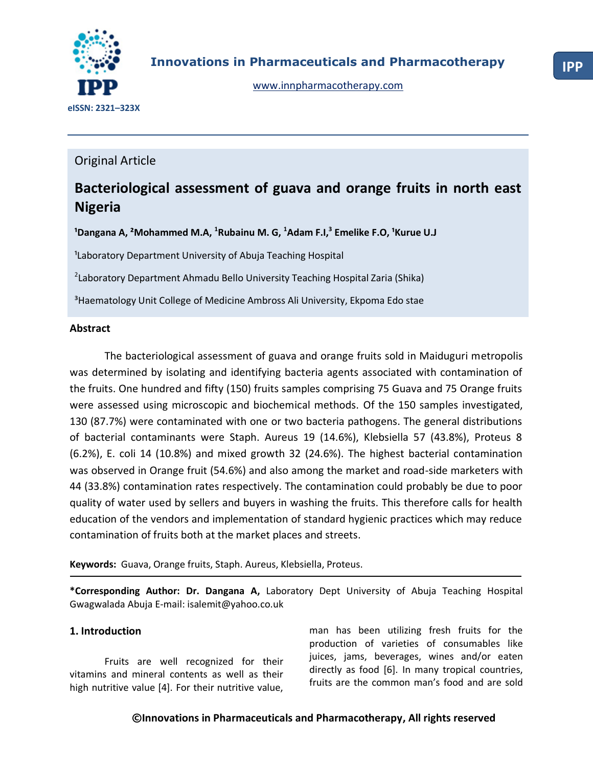

## Original Article

# **Bacteriological assessment of guava and orange fruits in north east Nigeria**

<sup>1</sup>Dangana A, <sup>2</sup>Mohammed M.A, <sup>1</sup>Rubainu M. G, <sup>1</sup>Adam F.I,<sup>3</sup> Emelike F.O, <sup>1</sup>Kurue U.J

<sup>1</sup>Laboratory Department University of Abuja Teaching Hospital

<sup>2</sup>Laboratory Department Ahmadu Bello University Teaching Hospital Zaria (Shika)

<sup>3</sup> Haematology Unit College of Medicine Ambross Ali University, Ekpoma Edo stae

#### **Abstract**

The bacteriological assessment of guava and orange fruits sold in Maiduguri metropolis was determined by isolating and identifying bacteria agents associated with contamination of the fruits. One hundred and fifty (150) fruits samples comprising 75 Guava and 75 Orange fruits were assessed using microscopic and biochemical methods. Of the 150 samples investigated, 130 (87.7%) were contaminated with one or two bacteria pathogens. The general distributions of bacterial contaminants were Staph. Aureus 19 (14.6%), Klebsiella 57 (43.8%), Proteus 8 (6.2%), E. coli 14 (10.8%) and mixed growth 32 (24.6%). The highest bacterial contamination was observed in Orange fruit (54.6%) and also among the market and road-side marketers with 44 (33.8%) contamination rates respectively. The contamination could probably be due to poor quality of water used by sellers and buyers in washing the fruits. This therefore calls for health education of the vendors and implementation of standard hygienic practices which may reduce contamination of fruits both at the market places and streets.

**Keywords:** Guava, Orange fruits, Staph. Aureus, Klebsiella, Proteus.

**\*Corresponding Author: Dr. Dangana A,** Laboratory Dept University of Abuja Teaching Hospital Gwagwalada Abuja E-mail[: isalemit@yahoo.co.uk](mailto:isalemit@yahoo.co.uk)

## **1. Introduction**

Fruits are well recognized for their vitamins and mineral contents as well as their high nutritive value [4]. For their nutritive value,

man has been utilizing fresh fruits for the production of varieties of consumables like juices, jams, beverages, wines and/or eaten directly as food [6]. In many tropical countries, fruits are the common man's food and are sold

## **©Innovations in Pharmaceuticals and Pharmacotherapy, All rights reserved**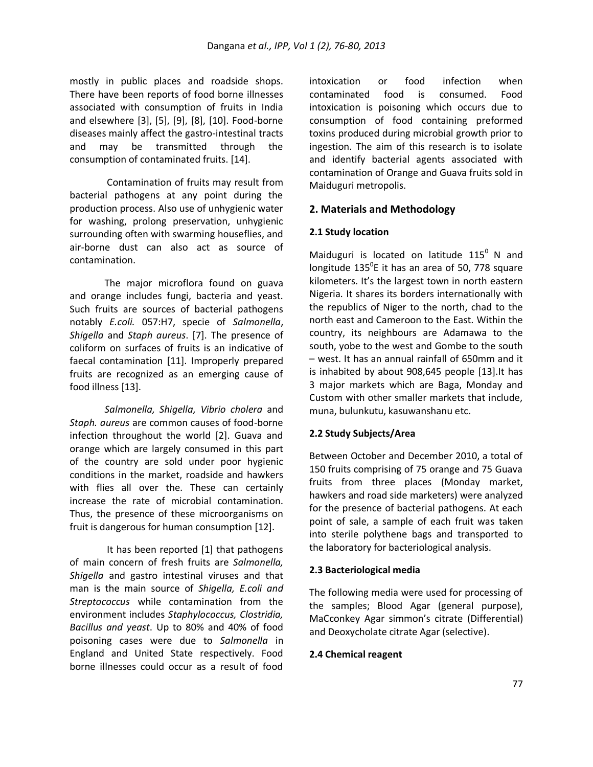mostly in public places and roadside shops. There have been reports of food borne illnesses associated with consumption of fruits in India and elsewhere [3], [5], [9], [8], [10]. Food-borne diseases mainly affect the gastro-intestinal tracts and may be transmitted through the consumption of contaminated fruits. [14].

Contamination of fruits may result from bacterial pathogens at any point during the production process. Also use of unhygienic water for washing, prolong preservation, unhygienic surrounding often with swarming houseflies, and air-borne dust can also act as source of contamination.

The major microflora found on guava and orange includes fungi, bacteria and yeast. Such fruits are sources of bacterial pathogens notably *E.coli.* 057:H7, specie of *Salmonella*, *Shigella* and *Staph aureus*. [7]. The presence of coliform on surfaces of fruits is an indicative of faecal contamination [11]. Improperly prepared fruits are recognized as an emerging cause of food illness [13].

*Salmonella, Shigella, Vibrio cholera* and *Staph. aureus* are common causes of food-borne infection throughout the world [2]. Guava and orange which are largely consumed in this part of the country are sold under poor hygienic conditions in the market, roadside and hawkers with flies all over the. These can certainly increase the rate of microbial contamination. Thus, the presence of these microorganisms on fruit is dangerous for human consumption [12].

It has been reported [1] that pathogens of main concern of fresh fruits are *Salmonella, Shigella* and gastro intestinal viruses and that man is the main source of *Shigella, E.coli and Streptococcus* while contamination from the environment includes *Staphylococcus, Clostridia, Bacillus and yeast*. Up to 80% and 40% of food poisoning cases were due to *Salmonella* in England and United State respectively. Food borne illnesses could occur as a result of food

intoxication or food infection when contaminated food is consumed. Food intoxication is poisoning which occurs due to consumption of food containing preformed toxins produced during microbial growth prior to ingestion. The aim of this research is to isolate and identify bacterial agents associated with contamination of Orange and Guava fruits sold in Maiduguri metropolis.

## **2. Materials and Methodology**

#### **2.1 Study location**

Maiduguri is located on latitude  $115^{\circ}$  N and longitude  $135^0$ E it has an area of 50, 778 square kilometers. It's the largest town in north eastern Nigeria. It shares its borders internationally with the republics of Niger to the north, chad to the north east and Cameroon to the East. Within the country, its neighbours are Adamawa to the south, yobe to the west and Gombe to the south – west. It has an annual rainfall of 650mm and it is inhabited by about 908,645 people [13].It has 3 major markets which are Baga, Monday and Custom with other smaller markets that include, muna, bulunkutu, kasuwanshanu etc.

## **2.2 Study Subjects/Area**

Between October and December 2010, a total of 150 fruits comprising of 75 orange and 75 Guava fruits from three places (Monday market, hawkers and road side marketers) were analyzed for the presence of bacterial pathogens. At each point of sale, a sample of each fruit was taken into sterile polythene bags and transported to the laboratory for bacteriological analysis.

#### **2.3 Bacteriological media**

The following media were used for processing of the samples; Blood Agar (general purpose), MaCconkey Agar simmon's citrate (Differential) and Deoxycholate citrate Agar (selective).

#### **2.4 Chemical reagent**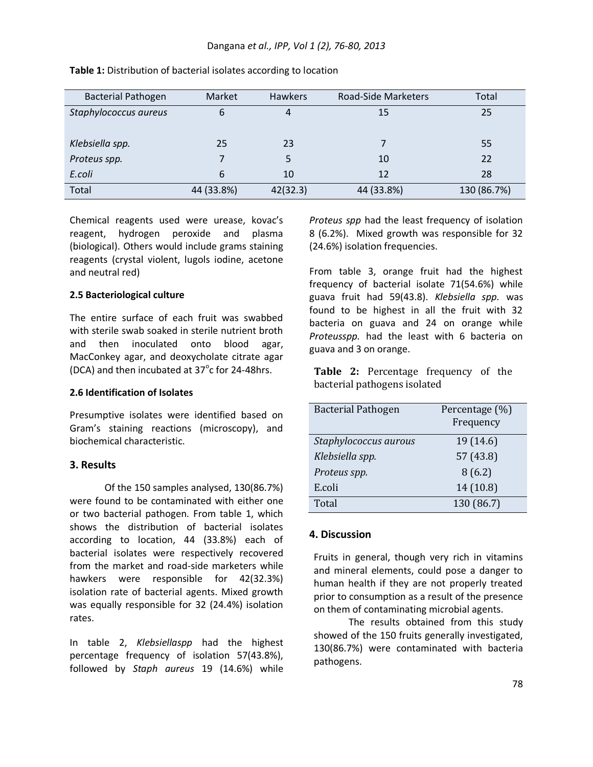| <b>Bacterial Pathogen</b> | Market     | <b>Hawkers</b> | Road-Side Marketers | Total       |
|---------------------------|------------|----------------|---------------------|-------------|
| Staphylococcus aureus     | 6          | 4              | 15                  | 25          |
|                           |            |                |                     |             |
| Klebsiella spp.           | 25         | 23             |                     | 55          |
| Proteus spp.              |            | 5              | 10                  | 22          |
| E.coli                    | 6          | 10             | 12                  | 28          |
| Total                     | 44 (33.8%) | 42(32.3)       | 44 (33.8%)          | 130 (86.7%) |

**Table 1:** Distribution of bacterial isolates according to location

Chemical reagents used were urease, kovac's reagent, hydrogen peroxide and plasma (biological). Others would include grams staining reagents (crystal violent, lugols iodine, acetone and neutral red)

#### **2.5 Bacteriological culture**

The entire surface of each fruit was swabbed with sterile swab soaked in sterile nutrient broth and then inoculated onto blood agar, MacConkey agar, and deoxycholate citrate agar (DCA) and then incubated at  $37^{\circ}$ c for 24-48hrs.

#### **2.6 Identification of Isolates**

Presumptive isolates were identified based on Gram's staining reactions (microscopy), and biochemical characteristic.

#### **3. Results**

Of the 150 samples analysed, 130(86.7%) were found to be contaminated with either one or two bacterial pathogen. From table 1, which shows the distribution of bacterial isolates according to location, 44 (33.8%) each of bacterial isolates were respectively recovered from the market and road-side marketers while hawkers were responsible for 42(32.3%) isolation rate of bacterial agents. Mixed growth was equally responsible for 32 (24.4%) isolation rates.

In table 2, *Klebsiellaspp* had the highest percentage frequency of isolation 57(43.8%), followed by *Staph aureus* 19 (14.6%) while

*Proteus spp* had the least frequency of isolation 8 (6.2%). Mixed growth was responsible for 32 (24.6%) isolation frequencies.

From table 3, orange fruit had the highest frequency of bacterial isolate 71(54.6%) while guava fruit had 59(43.8). *Klebsiella spp.* was found to be highest in all the fruit with 32 bacteria on guava and 24 on orange while *Proteusspp.* had the least with 6 bacteria on guava and 3 on orange.

**Table 2:** Percentage frequency of the bacterial pathogens isolated

| <b>Bacterial Pathogen</b> | Percentage (%)<br>Frequency |
|---------------------------|-----------------------------|
| Staphylococcus aurous     | 19 (14.6)                   |
| Klebsiella spp.           | 57 (43.8)                   |
| Proteus spp.              | 8(6.2)                      |
| E.coli                    | 14 (10.8)                   |
| Total                     | 130 (86.7)                  |

## **4. Discussion**

Fruits in general, though very rich in vitamins and mineral elements, could pose a danger to human health if they are not properly treated prior to consumption as a result of the presence on them of contaminating microbial agents.

The results obtained from this study showed of the 150 fruits generally investigated, 130(86.7%) were contaminated with bacteria pathogens.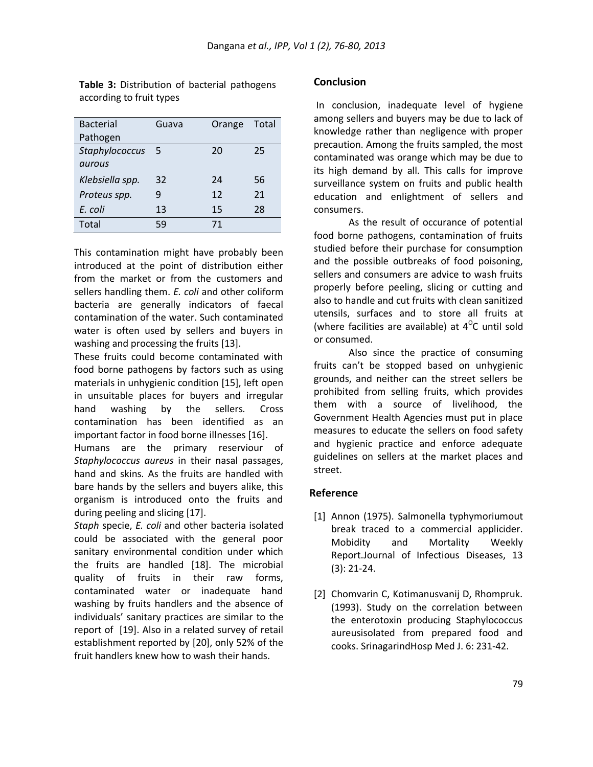**Table 3:** Distribution of bacterial pathogens according to fruit types

| <b>Bacterial</b> | Guava | Orange | Total |
|------------------|-------|--------|-------|
| Pathogen         |       |        |       |
| Staphylococcus   | 5     | 20     | 25    |
| aurous           |       |        |       |
| Klebsiella spp.  | 32    | 24     | 56    |
| Proteus spp.     | g     | 12     | 21    |
| E. coli          | 13    | 15     | 28    |
| Total            | 59    | 71     |       |

This contamination might have probably been introduced at the point of distribution either from the market or from the customers and sellers handling them. *E. coli* and other coliform bacteria are generally indicators of faecal contamination of the water. Such contaminated water is often used by sellers and buyers in washing and processing the fruits [13].

These fruits could become contaminated with food borne pathogens by factors such as using materials in unhygienic condition [15], left open in unsuitable places for buyers and irregular hand washing by the sellers. Cross contamination has been identified as an important factor in food borne illnesses [16].

Humans are the primary reserviour of *Staphylococcus aureus* in their nasal passages, hand and skins. As the fruits are handled with bare hands by the sellers and buyers alike, this organism is introduced onto the fruits and during peeling and slicing [17].

*Staph* specie, *E. coli* and other bacteria isolated could be associated with the general poor sanitary environmental condition under which the fruits are handled [18]. The microbial quality of fruits in their raw forms, contaminated water or inadequate hand washing by fruits handlers and the absence of individuals' sanitary practices are similar to the report of [19]. Also in a related survey of retail establishment reported by [20], only 52% of the fruit handlers knew how to wash their hands.

#### **Conclusion**

In conclusion, inadequate level of hygiene among sellers and buyers may be due to lack of knowledge rather than negligence with proper precaution. Among the fruits sampled, the most contaminated was orange which may be due to its high demand by all. This calls for improve surveillance system on fruits and public health education and enlightment of sellers and consumers.

As the result of occurance of potential food borne pathogens, contamination of fruits studied before their purchase for consumption and the possible outbreaks of food poisoning, sellers and consumers are advice to wash fruits properly before peeling, slicing or cutting and also to handle and cut fruits with clean sanitized utensils, surfaces and to store all fruits at (where facilities are available) at  $4^{\circ}$ C until sold or consumed.

Also since the practice of consuming fruits can't be stopped based on unhygienic grounds, and neither can the street sellers be prohibited from selling fruits, which provides them with a source of livelihood, the Government Health Agencies must put in place measures to educate the sellers on food safety and hygienic practice and enforce adequate guidelines on sellers at the market places and street.

#### **Reference**

- [1] Annon (1975). Salmonella typhymoriumout break traced to a commercial applicider. Mobidity and Mortality Weekly Report.Journal of Infectious Diseases, 13 (3): 21-24.
- [2] Chomvarin C, Kotimanusvanij D, Rhompruk. (1993). Study on the correlation between the enterotoxin producing Staphylococcus aureusisolated from prepared food and cooks. SrinagarindHosp Med J. 6: 231-42.